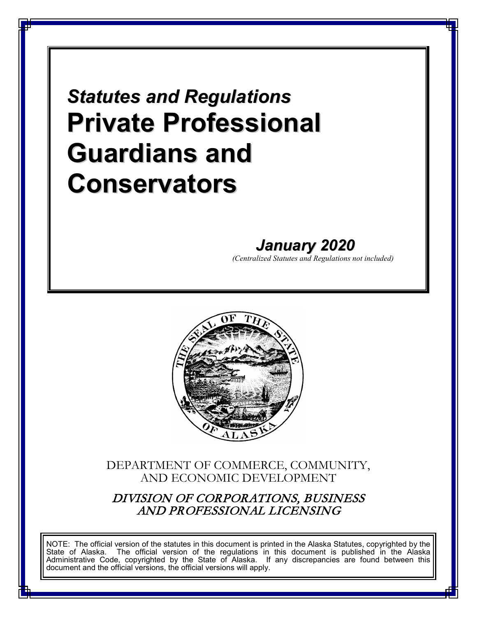# *Statutes and Regulations* **Private Professional Guardians and Conservators**

# *January 2020*

*(Centralized Statutes and Regulations not included)*



### DEPARTMENT OF COMMERCE, COMMUNITY, AND ECONOMIC DEVELOPMENT

DIVISION OF CORPORATIONS, BUSINESS AND PROFESSIONAL LICENSING

NOTE: The official version of the statutes in this document is printed in the Alaska Statutes, copyrighted by the State of Alaska. The official version of the regulations in this document is published in the Alaska Administrative Code, copyrighted by the State of Alaska. If any discrepancies are found between this document and the official versions, the official versions will apply.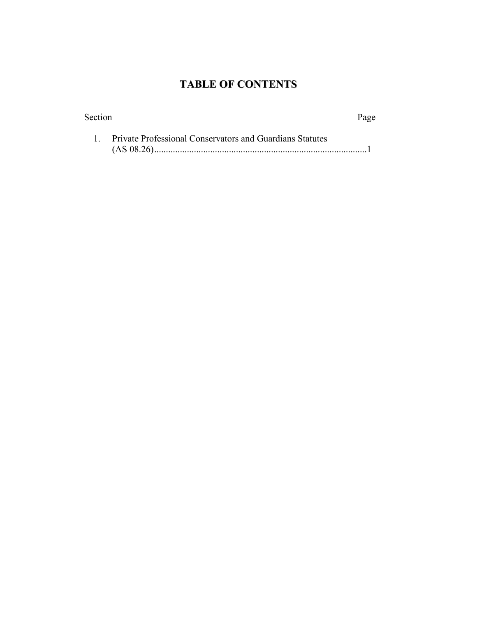## **TABLE OF CONTENTS**

| Section  |                                                                 | Page |
|----------|-----------------------------------------------------------------|------|
| - 1. - - | <b>Private Professional Conservators and Guardians Statutes</b> |      |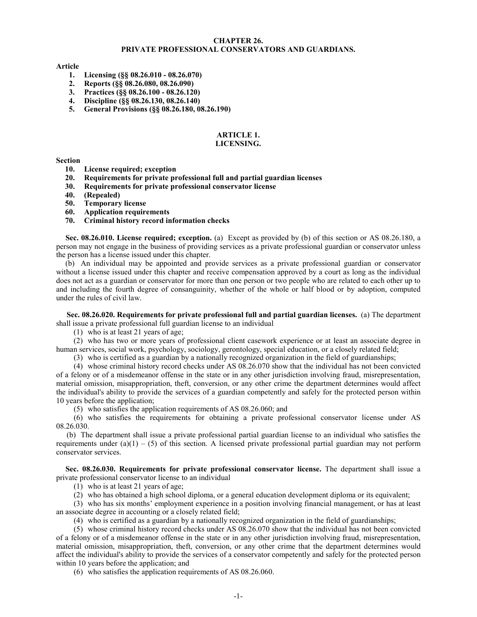#### **CHAPTER 26. PRIVATE PROFESSIONAL CONSERVATORS AND GUARDIANS.**

#### **Article**

- **1. Licensing (§§ 08.26.010 - 08.26.070)**
- **2. Reports (§§ 08.26.080, 08.26.090)**
- **3. Practices (§§ 08.26.100 - 08.26.120)**
- **4. Discipline (§§ 08.26.130, 08.26.140)**
- **5. General Provisions (§§ 08.26.180, 08.26.190)**

#### **ARTICLE 1. LICENSING.**

#### **Section**

- **10. License required; exception**
- **20. Requirements for private professional full and partial guardian licenses**
- **30. Requirements for private professional conservator license**
- **40. (Repealed)**
- **50. Temporary license**
- **60. Application requirements**
- **70. Criminal history record information checks**

**Sec. 08.26.010. License required; exception.** (a) Except as provided by (b) of this section or AS 08.26.180, a person may not engage in the business of providing services as a private professional guardian or conservator unless the person has a license issued under this chapter.

(b) An individual may be appointed and provide services as a private professional guardian or conservator without a license issued under this chapter and receive compensation approved by a court as long as the individual does not act as a guardian or conservator for more than one person or two people who are related to each other up to and including the fourth degree of consanguinity, whether of the whole or half blood or by adoption, computed under the rules of civil law.

**Sec. 08.26.020. Requirements for private professional full and partial guardian licenses.** (a) The department shall issue a private professional full guardian license to an individual

(1) who is at least 21 years of age;

(2) who has two or more years of professional client casework experience or at least an associate degree in human services, social work, psychology, sociology, gerontology, special education, or a closely related field;

(3) who is certified as a guardian by a nationally recognized organization in the field of guardianships;

(4) whose criminal history record checks under AS 08.26.070 show that the individual has not been convicted of a felony or of a misdemeanor offense in the state or in any other jurisdiction involving fraud, misrepresentation, material omission, misappropriation, theft, conversion, or any other crime the department determines would affect the individual's ability to provide the services of a guardian competently and safely for the protected person within 10 years before the application;

(5) who satisfies the application requirements of AS 08.26.060; and

(6) who satisfies the requirements for obtaining a private professional conservator license under AS 08.26.030.

(b) The department shall issue a private professional partial guardian license to an individual who satisfies the requirements under (a)(1) – (5) of this section. A licensed private professional partial guardian may not perform conservator services.

**Sec. 08.26.030. Requirements for private professional conservator license.** The department shall issue a private professional conservator license to an individual

(1) who is at least 21 years of age;

(2) who has obtained a high school diploma, or a general education development diploma or its equivalent;

(3) who has six months' employment experience in a position involving financial management, or has at least an associate degree in accounting or a closely related field;

(4) who is certified as a guardian by a nationally recognized organization in the field of guardianships;

(5) whose criminal history record checks under AS 08.26.070 show that the individual has not been convicted of a felony or of a misdemeanor offense in the state or in any other jurisdiction involving fraud, misrepresentation, material omission, misappropriation, theft, conversion, or any other crime that the department determines would affect the individual's ability to provide the services of a conservator competently and safely for the protected person within 10 years before the application; and

(6) who satisfies the application requirements of AS 08.26.060.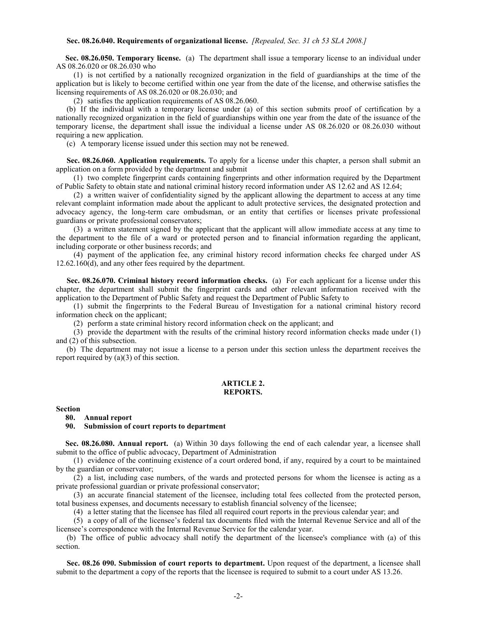#### **Sec. 08.26.040. Requirements of organizational license.** *[Repealed, Sec. 31 ch 53 SLA 2008.]*

**Sec. 08.26.050. Temporary license.** (a) The department shall issue a temporary license to an individual under AS 08.26.020 or 08.26.030 who

(1) is not certified by a nationally recognized organization in the field of guardianships at the time of the application but is likely to become certified within one year from the date of the license, and otherwise satisfies the licensing requirements of AS 08.26.020 or 08.26.030; and

(2) satisfies the application requirements of AS 08.26.060.

(b) If the individual with a temporary license under (a) of this section submits proof of certification by a nationally recognized organization in the field of guardianships within one year from the date of the issuance of the temporary license, the department shall issue the individual a license under AS 08.26.020 or 08.26.030 without requiring a new application.

(c) A temporary license issued under this section may not be renewed.

**Sec. 08.26.060. Application requirements.** To apply for a license under this chapter, a person shall submit an application on a form provided by the department and submit

(1) two complete fingerprint cards containing fingerprints and other information required by the Department of Public Safety to obtain state and national criminal history record information under AS 12.62 and AS 12.64;

(2) a written waiver of confidentiality signed by the applicant allowing the department to access at any time relevant complaint information made about the applicant to adult protective services, the designated protection and advocacy agency, the long-term care ombudsman, or an entity that certifies or licenses private professional guardians or private professional conservators;

(3) a written statement signed by the applicant that the applicant will allow immediate access at any time to the department to the file of a ward or protected person and to financial information regarding the applicant, including corporate or other business records; and

(4) payment of the application fee, any criminal history record information checks fee charged under AS 12.62.160(d), and any other fees required by the department.

**Sec. 08.26.070. Criminal history record information checks.** (a) For each applicant for a license under this chapter, the department shall submit the fingerprint cards and other relevant information received with the application to the Department of Public Safety and request the Department of Public Safety to

(1) submit the fingerprints to the Federal Bureau of Investigation for a national criminal history record information check on the applicant;

(2) perform a state criminal history record information check on the applicant; and

(3) provide the department with the results of the criminal history record information checks made under (1) and (2) of this subsection.

(b) The department may not issue a license to a person under this section unless the department receives the report required by (a)(3) of this section.

#### **ARTICLE 2. REPORTS.**

#### **Section**

**80. Annual report**

#### **90. Submission of court reports to department**

**Sec. 08.26.080. Annual report.** (a) Within 30 days following the end of each calendar year, a licensee shall submit to the office of public advocacy, Department of Administration

(1) evidence of the continuing existence of a court ordered bond, if any, required by a court to be maintained by the guardian or conservator;

(2) a list, including case numbers, of the wards and protected persons for whom the licensee is acting as a private professional guardian or private professional conservator;

(3) an accurate financial statement of the licensee, including total fees collected from the protected person, total business expenses, and documents necessary to establish financial solvency of the licensee;

(4) a letter stating that the licensee has filed all required court reports in the previous calendar year; and

(5) a copy of all of the licensee's federal tax documents filed with the Internal Revenue Service and all of the licensee's correspondence with the Internal Revenue Service for the calendar year.

(b) The office of public advocacy shall notify the department of the licensee's compliance with (a) of this section.

**Sec. 08.26 090. Submission of court reports to department.** Upon request of the department, a licensee shall submit to the department a copy of the reports that the licensee is required to submit to a court under AS 13.26.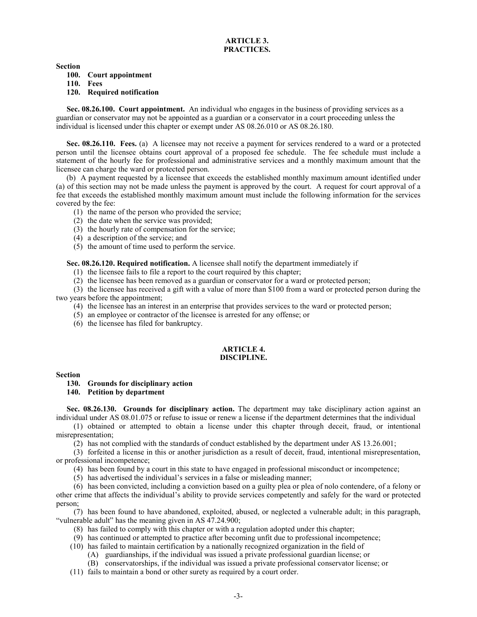#### **ARTICLE 3. PRACTICES.**

**Section**

**100. Court appointment**

**110. Fees**

**120. Required notification**

**Sec. 08.26.100. Court appointment.** An individual who engages in the business of providing services as a guardian or conservator may not be appointed as a guardian or a conservator in a court proceeding unless the individual is licensed under this chapter or exempt under AS 08.26.010 or AS 08.26.180.

**Sec. 08.26.110. Fees.** (a) A licensee may not receive a payment for services rendered to a ward or a protected person until the licensee obtains court approval of a proposed fee schedule. The fee schedule must include a statement of the hourly fee for professional and administrative services and a monthly maximum amount that the licensee can charge the ward or protected person.

(b) A payment requested by a licensee that exceeds the established monthly maximum amount identified under (a) of this section may not be made unless the payment is approved by the court. A request for court approval of a fee that exceeds the established monthly maximum amount must include the following information for the services covered by the fee:

- (1) the name of the person who provided the service;
- (2) the date when the service was provided;
- (3) the hourly rate of compensation for the service;
- (4) a description of the service; and
- (5) the amount of time used to perform the service.

**Sec. 08.26.120. Required notification.** A licensee shall notify the department immediately if

(1) the licensee fails to file a report to the court required by this chapter;

(2) the licensee has been removed as a guardian or conservator for a ward or protected person;

(3) the licensee has received a gift with a value of more than \$100 from a ward or protected person during the two years before the appointment;

- (4) the licensee has an interest in an enterprise that provides services to the ward or protected person;
- (5) an employee or contractor of the licensee is arrested for any offense; or
- (6) the licensee has filed for bankruptcy.

#### **ARTICLE 4. DISCIPLINE.**

**Section**

#### **130. Grounds for disciplinary action**

**140. Petition by department**

**Sec. 08.26.130.** Grounds for disciplinary action. The department may take disciplinary action against an individual under AS 08.01.075 or refuse to issue or renew a license if the department determines that the individual

(1) obtained or attempted to obtain a license under this chapter through deceit, fraud, or intentional misrepresentation;

(2) has not complied with the standards of conduct established by the department under AS 13.26.001;

(3) forfeited a license in this or another jurisdiction as a result of deceit, fraud, intentional misrepresentation, or professional incompetence;

(4) has been found by a court in this state to have engaged in professional misconduct or incompetence;

(5) has advertised the individual's services in a false or misleading manner;

(6) has been convicted, including a conviction based on a guilty plea or plea of nolo contendere, of a felony or other crime that affects the individual's ability to provide services competently and safely for the ward or protected person;

(7) has been found to have abandoned, exploited, abused, or neglected a vulnerable adult; in this paragraph, "vulnerable adult" has the meaning given in AS 47.24.900;

- (8) has failed to comply with this chapter or with a regulation adopted under this chapter;
- (9) has continued or attempted to practice after becoming unfit due to professional incompetence;
- (10) has failed to maintain certification by a nationally recognized organization in the field of
	- (A) guardianships, if the individual was issued a private professional guardian license; or
	- (B) conservatorships, if the individual was issued a private professional conservator license; or
- (11) fails to maintain a bond or other surety as required by a court order.